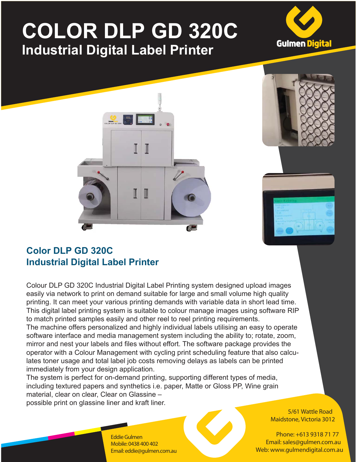## **COLOR DLP GD 320C Industrial Digital Label Printer**









## **Color DLP GD 320C Industrial Digital Label Printer**

Colour DLP GD 320C Industrial Digital Label Printing system designed upload images easily via network to print on demand suitable for large and small volume high quality printing. It can meet your various printing demands with variable data in short lead time. This digital label printing system is suitable to colour manage images using software RIP to match printed samples easily and other reel to reel printing requirements.

The machine offers personalized and highly individual labels utilising an easy to operate software interface and media management system including the ability to; rotate, zoom, mirror and nest your labels and files without effort. The software package provides the operator with a Colour Management with cycling print scheduling feature that also calculates toner usage and total label job costs removing delays as labels can be printed immediately from your design application.

The system is perfect for on-demand printing, supporting different types of media, including textured papers and synthetics i.e. paper, Matte or Gloss PP, Wine grain material, clear on clear, Clear on Glassine – possible print on glassine liner and kraft liner.

> **5/61 Wattle Road Maidstone, Victoria 3012**

**Phone: +613 9318 71 77 Email: sales@gulmen.com.au Web: www.gulmendigital.com.au**

**Eddie Gulmen Mobile: 0438 400 402 Email: eddie@gulmen.com.au**